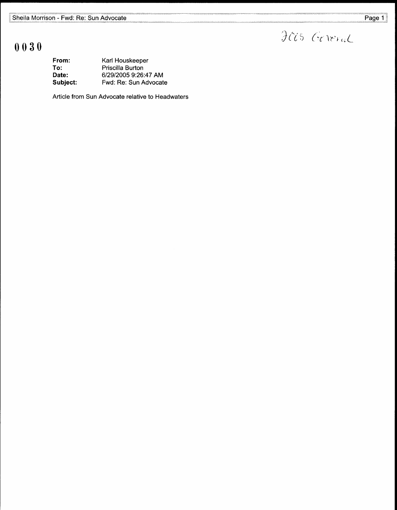Jas Gereral

## 0030

| From:    | Karl Houskeeper       |
|----------|-----------------------|
| To:      | Priscilla Burton      |
| Date:    | 6/29/2005 9:26:47 AM  |
| Subject: | Fwd: Re: Sun Advocate |

Article from Sun Advocate relative to Headwaters